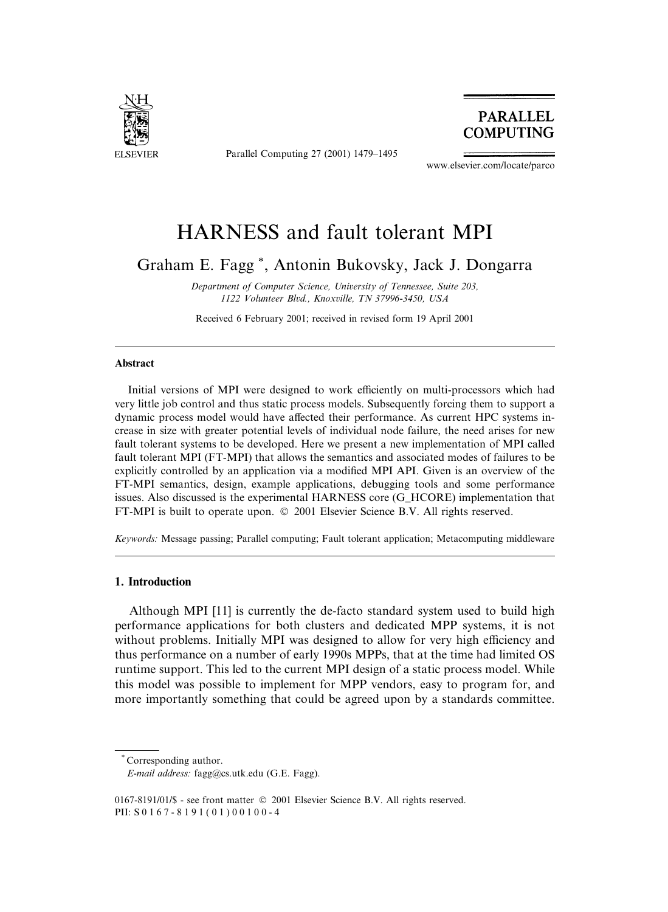

Parallel Computing 27 (2001) 1479-1495



www.elsevier.com/locate/parco

# **HARNESS** and fault tolerant MPI

Graham E. Fagg<sup>\*</sup>, Antonin Bukovsky, Jack J. Dongarra

Department of Computer Science, University of Tennessee, Suite 203, 1122 Volunteer Blvd., Knoxville, TN 37996-3450, USA

Received 6 February 2001; received in revised form 19 April 2001

#### Abstract

Initial versions of MPI were designed to work efficiently on multi-processors which had very little job control and thus static process models. Subsequently forcing them to support a dynamic process model would have affected their performance. As current HPC systems increase in size with greater potential levels of individual node failure, the need arises for new fault tolerant systems to be developed. Here we present a new implementation of MPI called fault tolerant MPI (FT-MPI) that allows the semantics and associated modes of failures to be explicitly controlled by an application via a modified MPI API. Given is an overview of the FT-MPI semantics, design, example applications, debugging tools and some performance issues. Also discussed is the experimental HARNESS core (G HCORE) implementation that FT-MPI is built to operate upon. © 2001 Elsevier Science B.V. All rights reserved.

Keywords: Message passing; Parallel computing; Fault tolerant application; Metacomputing middleware

# 1. Introduction

Although MPI [11] is currently the de-facto standard system used to build high performance applications for both clusters and dedicated MPP systems, it is not without problems. Initially MPI was designed to allow for very high efficiency and thus performance on a number of early 1990s MPPs, that at the time had limited OS runtime support. This led to the current MPI design of a static process model. While this model was possible to implement for MPP vendors, easy to program for, and more importantly something that could be agreed upon by a standards committee.

Corresponding author

E-mail address: fagg@cs.utk.edu (G.E. Fagg).

<sup>0167-8191/01/\$ -</sup> see front matter © 2001 Elsevier Science B.V. All rights reserved. PII: S 0 1 6 7 - 8 1 9 1 (0 1) 0 0 1 0 0 - 4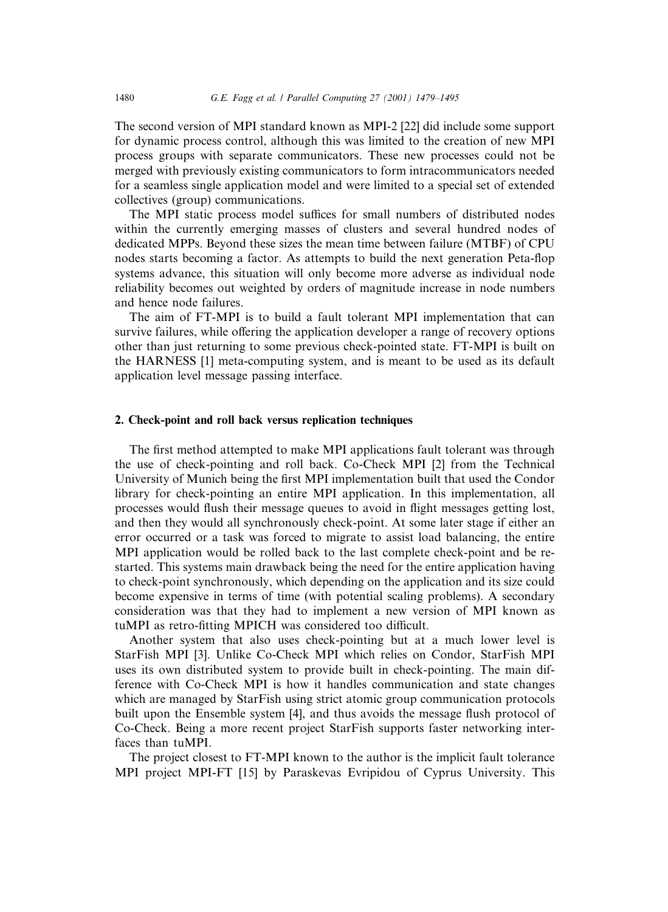The second version of MPI standard known as MPI-2 [22] did include some support for dynamic process control, although this was limited to the creation of new MPI process groups with separate communicators. These new processes could not be merged with previously existing communicators to form intracommunicators needed for a seamless single application model and were limited to a special set of extended collectives (group) communications.

The MPI static process model suffices for small numbers of distributed nodes within the currently emerging masses of clusters and several hundred nodes of dedicated MPPs. Beyond these sizes the mean time between failure (MTBF) of CPU nodes starts becoming a factor. As attempts to build the next generation Peta-flop systems advance, this situation will only become more adverse as individual node reliability becomes out weighted by orders of magnitude increase in node numbers and hence node failures.

The aim of FT-MPI is to build a fault tolerant MPI implementation that can survive failures, while offering the application developer a range of recovery options other than just returning to some previous check-pointed state. FT-MPI is built on the HARNESS [1] meta-computing system, and is meant to be used as its default application level message passing interface.

# 2. Check-point and roll back versus replication techniques

The first method attempted to make MPI applications fault tolerant was through the use of check-pointing and roll back. Co-Check MPI [2] from the Technical University of Munich being the first MPI implementation built that used the Condor library for check-pointing an entire MPI application. In this implementation, all processes would flush their message queues to avoid in flight messages getting lost, and then they would all synchronously check-point. At some later stage if either an error occurred or a task was forced to migrate to assist load balancing, the entire MPI application would be rolled back to the last complete check-point and be restarted. This systems main drawback being the need for the entire application having to check-point synchronously, which depending on the application and its size could become expensive in terms of time (with potential scaling problems). A secondary consideration was that they had to implement a new version of MPI known as tuMPI as retro-fitting MPICH was considered too difficult.

Another system that also uses check-pointing but at a much lower level is StarFish MPI [3]. Unlike Co-Check MPI which relies on Condor, StarFish MPI uses its own distributed system to provide built in check-pointing. The main difference with Co-Check MPI is how it handles communication and state changes which are managed by StarFish using strict atomic group communication protocols built upon the Ensemble system [4], and thus avoids the message flush protocol of Co-Check. Being a more recent project StarFish supports faster networking interfaces than tuMPI.

The project closest to FT-MPI known to the author is the implicit fault tolerance MPI project MPI-FT [15] by Paraskevas Evripidou of Cyprus University. This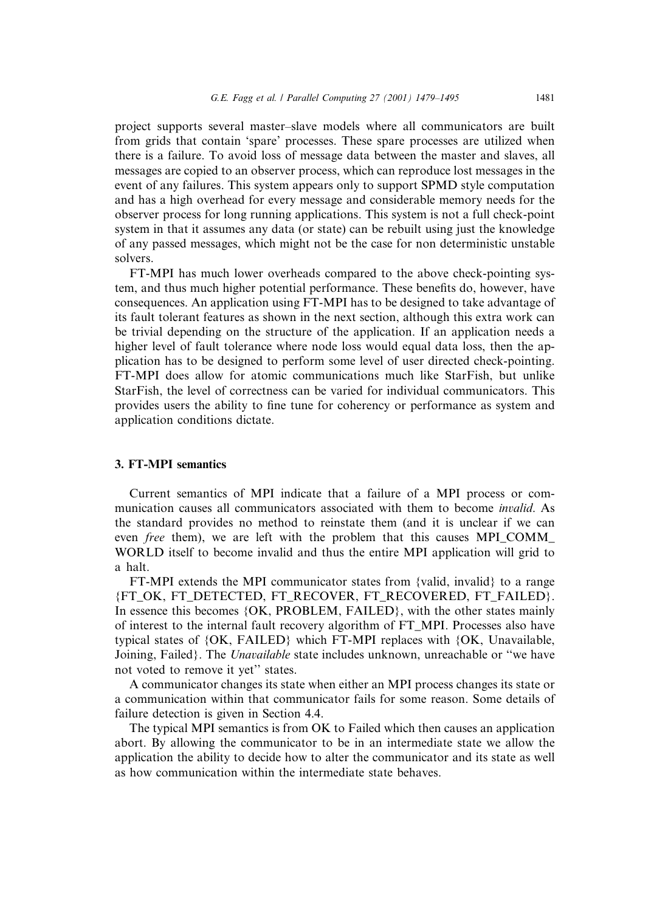project supports several master-slave models where all communicators are built from grids that contain 'spare' processes. These spare processes are utilized when there is a failure. To avoid loss of message data between the master and slaves, all messages are copied to an observer process, which can reproduce lost messages in the event of any failures. This system appears only to support SPMD style computation and has a high overhead for every message and considerable memory needs for the observer process for long running applications. This system is not a full check-point system in that it assumes any data (or state) can be rebuilt using just the knowledge of any passed messages, which might not be the case for non deterministic unstable solvers.

FT-MPI has much lower overheads compared to the above check-pointing system, and thus much higher potential performance. These benefits do, however, have consequences. An application using FT-MPI has to be designed to take advantage of its fault tolerant features as shown in the next section, although this extra work can be trivial depending on the structure of the application. If an application needs a higher level of fault tolerance where node loss would equal data loss, then the application has to be designed to perform some level of user directed check-pointing. FT-MPI does allow for atomic communications much like StarFish, but unlike StarFish, the level of correctness can be varied for individual communicators. This provides users the ability to fine tune for coherency or performance as system and application conditions dictate.

# 3. FT-MPI semantics

Current semantics of MPI indicate that a failure of a MPI process or communication causes all communicators associated with them to become *invalid*. As the standard provides no method to reinstate them (and it is unclear if we can even *free* them), we are left with the problem that this causes MPI\_COMM\_ WORLD itself to become invalid and thus the entire MPI application will grid to a halt.

FT-MPI extends the MPI communicator states from {valid, invalid} to a range {FT\_OK, FT\_DETECTED, FT\_RECOVER, FT\_RECOVERED, FT\_FAILED}. In essence this becomes {OK, PROBLEM, FAILED}, with the other states mainly of interest to the internal fault recovery algorithm of FT MPI. Processes also have typical states of {OK, FAILED} which FT-MPI replaces with {OK, Unavailable, Joining, Failed}. The *Unavailable* state includes unknown, unreachable or "we have not voted to remove it yet" states.

A communicator changes its state when either an MPI process changes its state or a communication within that communicator fails for some reason. Some details of failure detection is given in Section 4.4.

The typical MPI semantics is from OK to Failed which then causes an application abort. By allowing the communicator to be in an intermediate state we allow the application the ability to decide how to alter the communicator and its state as well as how communication within the intermediate state behaves.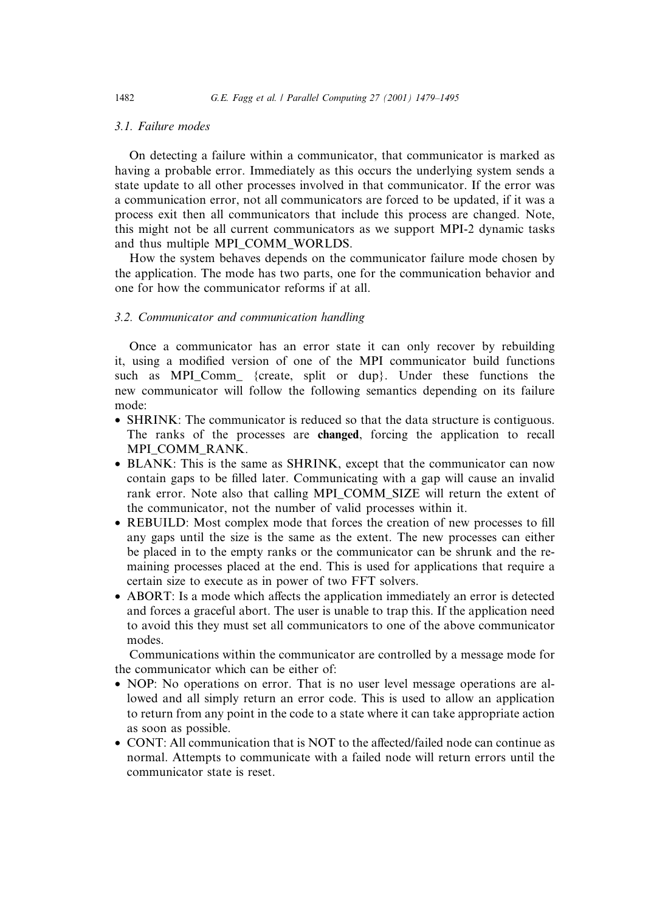## 3.1. Failure modes

On detecting a failure within a communicator, that communicator is marked as having a probable error. Immediately as this occurs the underlying system sends a state update to all other processes involved in that communicator. If the error was a communication error, not all communicators are forced to be updated, if it was a process exit then all communicators that include this process are changed. Note, this might not be all current communicators as we support MPI-2 dynamic tasks and thus multiple MPI\_COMM\_WORLDS.

How the system behaves depends on the communicator failure mode chosen by the application. The mode has two parts, one for the communication behavior and one for how the communicator reforms if at all.

# 3.2. Communicator and communication handling

Once a communicator has an error state it can only recover by rebuilding it, using a modified version of one of the MPI communicator build functions such as MPI\_Comm\_ {create, split or dup}. Under these functions the new communicator will follow the following semantics depending on its failure mode:

- SHRINK: The communicator is reduced so that the data structure is contiguous. The ranks of the processes are **changed**, forcing the application to recall MPI COMM RANK.
- BLANK: This is the same as SHRINK, except that the communicator can now contain gaps to be filled later. Communicating with a gap will cause an invalid rank error. Note also that calling MPI\_COMM\_SIZE will return the extent of the communicator, not the number of valid processes within it.
- REBUILD: Most complex mode that forces the creation of new processes to fill any gaps until the size is the same as the extent. The new processes can either be placed in to the empty ranks or the communicator can be shrunk and the remaining processes placed at the end. This is used for applications that require a certain size to execute as in power of two FFT solvers.
- ABORT: Is a mode which affects the application immediately an error is detected and forces a graceful abort. The user is unable to trap this. If the application need to avoid this they must set all communicators to one of the above communicator modes

Communications within the communicator are controlled by a message mode for the communicator which can be either of:

- NOP: No operations on error. That is no user level message operations are allowed and all simply return an error code. This is used to allow an application to return from any point in the code to a state where it can take appropriate action as soon as possible.
- CONT: All communication that is NOT to the affected/failed node can continue as normal. Attempts to communicate with a failed node will return errors until the communicator state is reset.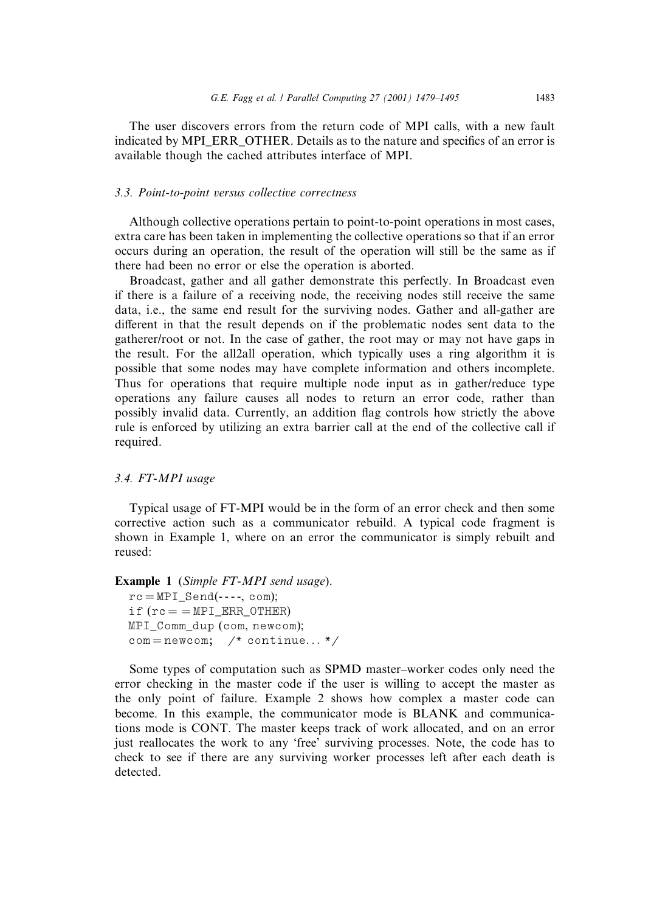The user discovers errors from the return code of MPI calls, with a new fault indicated by MPI ERR OTHER. Details as to the nature and specifics of an error is available though the cached attributes interface of MPI.

## 3.3. Point-to-point versus collective correctness

Although collective operations pertain to point-to-point operations in most cases, extra care has been taken in implementing the collective operations so that if an error occurs during an operation, the result of the operation will still be the same as if there had been no error or else the operation is aborted.

Broadcast, gather and all gather demonstrate this perfectly. In Broadcast even if there is a failure of a receiving node, the receiving nodes still receive the same data, i.e., the same end result for the surviving nodes. Gather and all-gather are different in that the result depends on if the problematic nodes sent data to the gatherer/root or not. In the case of gather, the root may or may not have gaps in the result. For the all all operation, which typically uses a ring algorithm it is possible that some nodes may have complete information and others incomplete. Thus for operations that require multiple node input as in gather/reduce type operations any failure causes all nodes to return an error code, rather than possibly invalid data. Currently, an addition flag controls how strictly the above rule is enforced by utilizing an extra barrier call at the end of the collective call if required.

#### 3.4. FT-MPI usage

Typical usage of FT-MPI would be in the form of an error check and then some corrective action such as a communicator rebuild. A typical code fragment is shown in Example 1, where on an error the communicator is simply rebuilt and reused:

# **Example 1** (Simple FT-MPI send usage).

```
rc = MPI\_Send(----, com);if (re = = MPI ERR OTHER)
MPI Comm dup (com, newcom);
com = newcom; /* continue... */
```
Some types of computation such as SPMD master-worker codes only need the error checking in the master code if the user is willing to accept the master as the only point of failure. Example 2 shows how complex a master code can become. In this example, the communicator mode is BLANK and communications mode is CONT. The master keeps track of work allocated, and on an error just reallocates the work to any 'free' surviving processes. Note, the code has to check to see if there are any surviving worker processes left after each death is detected.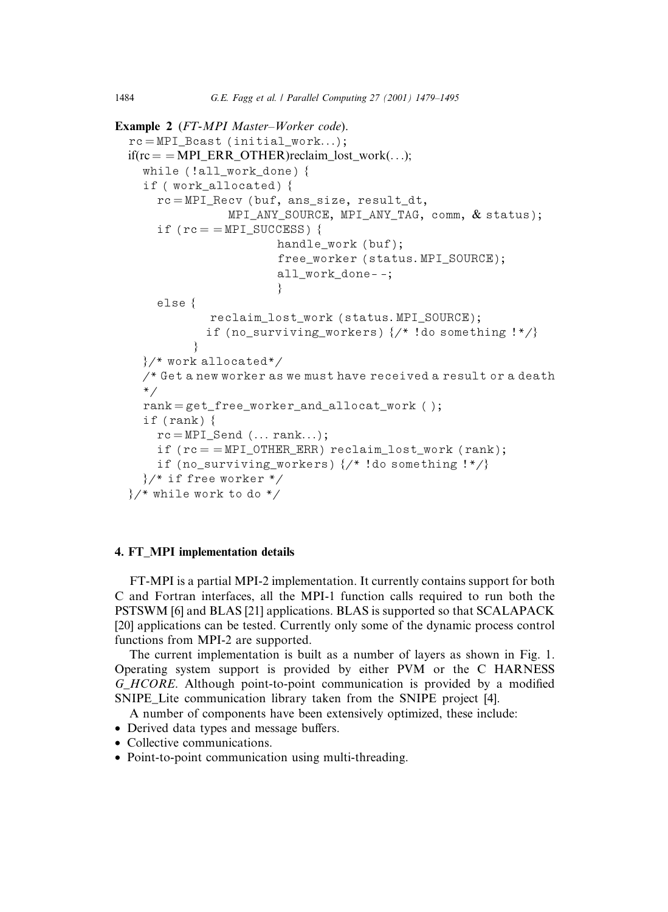```
Example 2 (FT-MPI Master-Worker code).
  rc = MPI\_Bcast (initial\_work...);
  if(rc = = MPI_ERR_OTHER) reclaim_lost_work(...);
    while (!all_work_done) {
    if (work_allocated) {
      rc=MPI_Recv (buf, ans_size, result_dt,
                 MPI ANY SOURCE, MPI ANY TAG, comm, & status);
      if (re = = MPI_SUCCES) {
                         handle_work (buf);
                         free worker (status. MPI SOURCE);
                         all work done--;
                         ₹
      elsereclaim lost work (status. MPI SOURCE);
              if (no_surviving_workers) \{\frac{*}{\} !do something !*/}
    }/* work allocated*/
    /* Get a new worker as we must have received a result or a death
    * /
    rank = get free worker and allocat work ();
    if (\text{rank}) {
      rc = MPI\_Send (... rank...);
      if (re = = MPI_OTHER\_ERR) reclaim_lost_work (rank);
      if (no_surviving_workers) \{\prime^* 'do something !*/}
    \frac{1}{2} if free worker */
  \}/* while work to do */
```
## 4. FT\_MPI implementation details

FT-MPI is a partial MPI-2 implementation. It currently contains support for both C and Fortran interfaces, all the MPI-1 function calls required to run both the PSTSWM [6] and BLAS [21] applications. BLAS is supported so that SCALAPACK [20] applications can be tested. Currently only some of the dynamic process control functions from MPI-2 are supported.

The current implementation is built as a number of layers as shown in Fig. 1. Operating system support is provided by either PVM or the C HARNESS G HCORE. Although point-to-point communication is provided by a modified SNIPE\_Lite communication library taken from the SNIPE project [4].

A number of components have been extensively optimized, these include:

- Derived data types and message buffers.
- Collective communications.
- Point-to-point communication using multi-threading.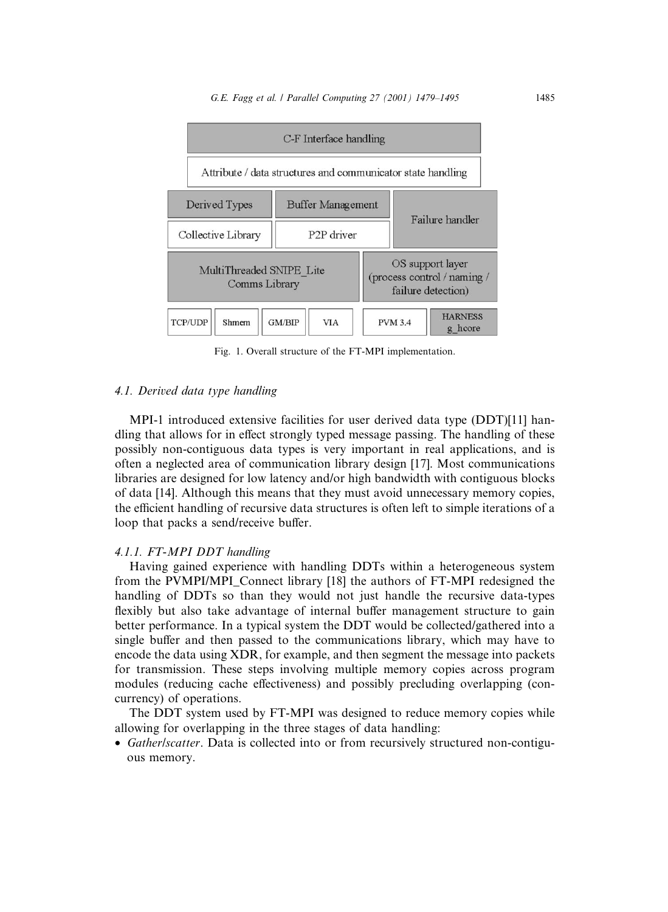

Fig. 1. Overall structure of the FT-MPI implementation.

## 4.1. Derived data type handling

MPI-1 introduced extensive facilities for user derived data type (DDT)[11] handling that allows for in effect strongly typed message passing. The handling of these possibly non-contiguous data types is very important in real applications, and is often a neglected area of communication library design [17]. Most communications libraries are designed for low latency and/or high bandwidth with contiguous blocks of data [14]. Although this means that they must avoid unnecessary memory copies, the efficient handling of recursive data structures is often left to simple iterations of a loop that packs a send/receive buffer.

# 4.1.1. FT-MPI DDT handling

Having gained experience with handling DDTs within a heterogeneous system from the PVMPI/MPI\_Connect library [18] the authors of FT-MPI redesigned the handling of DDTs so than they would not just handle the recursive data-types flexibly but also take advantage of internal buffer management structure to gain better performance. In a typical system the DDT would be collected/gathered into a single buffer and then passed to the communications library, which may have to encode the data using XDR, for example, and then segment the message into packets for transmission. These steps involving multiple memory copies across program modules (reducing cache effectiveness) and possibly precluding overlapping (concurrency) of operations.

The DDT system used by FT-MPI was designed to reduce memory copies while allowing for overlapping in the three stages of data handling:

• Gatherlscatter. Data is collected into or from recursively structured non-contiguous memory.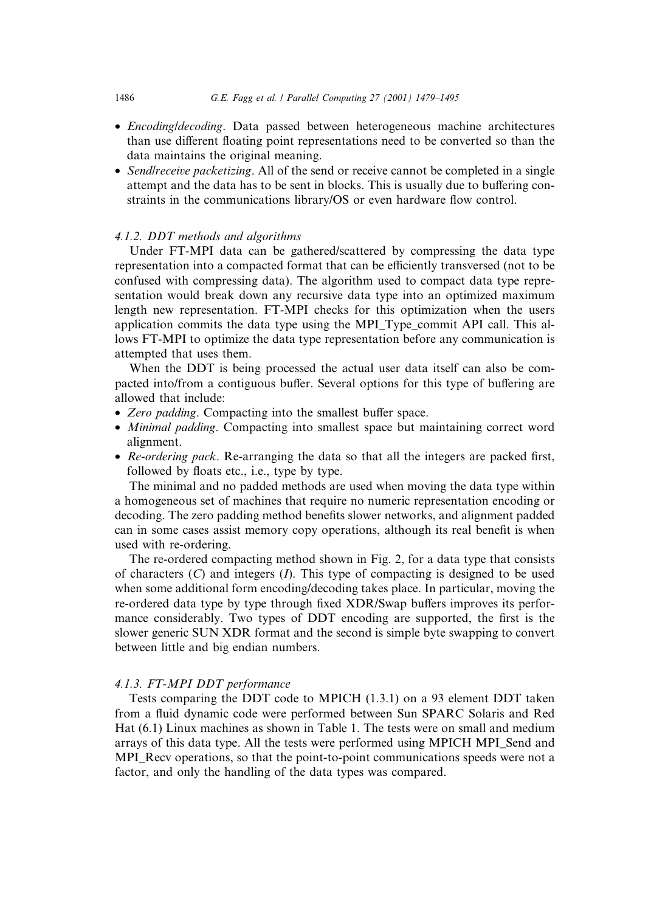- *Encoding/decoding*. Data passed between heterogeneous machine architectures than use different floating point representations need to be converted so than the data maintains the original meaning.
- Send receive packetizing. All of the send or receive cannot be completed in a single attempt and the data has to be sent in blocks. This is usually due to buffering constraints in the communications library/OS or even hardware flow control.

#### 4.1.2. DDT methods and algorithms

Under FT-MPI data can be gathered/scattered by compressing the data type representation into a compacted format that can be efficiently transversed (not to be confused with compressing data). The algorithm used to compact data type representation would break down any recursive data type into an optimized maximum length new representation. FT-MPI checks for this optimization when the users application commits the data type using the MPI Type commit API call. This allows FT-MPI to optimize the data type representation before any communication is attempted that uses them.

When the DDT is being processed the actual user data itself can also be compacted into/from a contiguous buffer. Several options for this type of buffering are allowed that include:

- Zero padding. Compacting into the smallest buffer space.
- Minimal padding. Compacting into smallest space but maintaining correct word alignment.
- Re-ordering pack. Re-arranging the data so that all the integers are packed first, followed by floats etc., i.e., type by type.

The minimal and no padded methods are used when moving the data type within a homogeneous set of machines that require no numeric representation encoding or decoding. The zero padding method benefits slower networks, and alignment padded can in some cases assist memory copy operations, although its real benefit is when used with re-ordering.

The re-ordered compacting method shown in Fig. 2, for a data type that consists of characters  $(C)$  and integers  $(I)$ . This type of compacting is designed to be used when some additional form encoding/decoding takes place. In particular, moving the re-ordered data type by type through fixed XDR/Swap buffers improves its performance considerably. Two types of DDT encoding are supported, the first is the slower generic SUN XDR format and the second is simple byte swapping to convert between little and big endian numbers.

#### 4.1.3. FT-MPI DDT performance

Tests comparing the DDT code to MPICH (1.3.1) on a 93 element DDT taken from a fluid dynamic code were performed between Sun SPARC Solaris and Red Hat (6.1) Linux machines as shown in Table 1. The tests were on small and medium arrays of this data type. All the tests were performed using MPICH MPI\_Send and MPI\_Recv operations, so that the point-to-point communications speeds were not a factor, and only the handling of the data types was compared.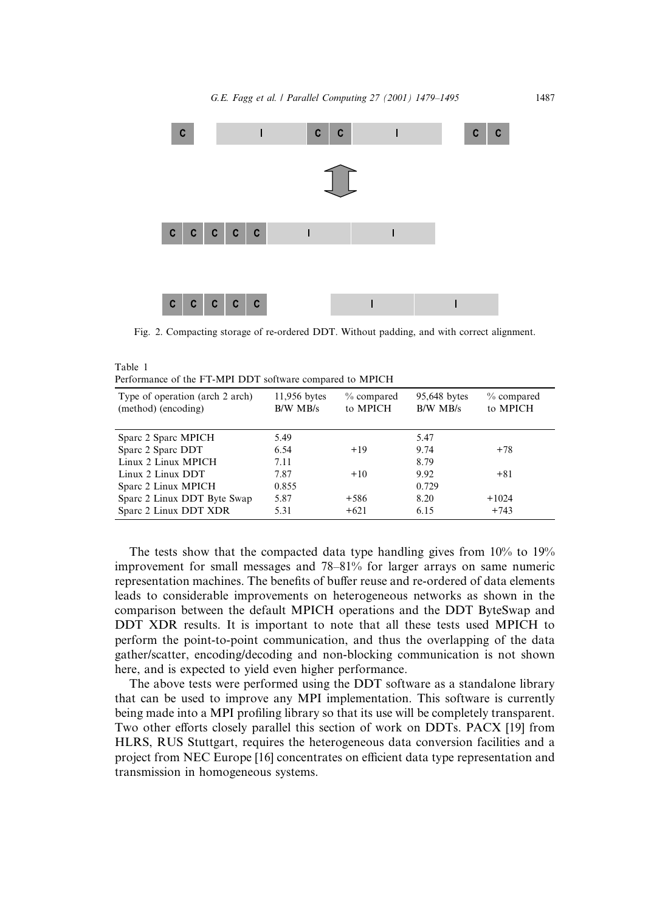

Fig. 2. Compacting storage of re-ordered DDT. Without padding, and with correct alignment.

| Table 1<br>Performance of the FT-MPI DDT software compared to MPICH |                            |                          |                            |                          |
|---------------------------------------------------------------------|----------------------------|--------------------------|----------------------------|--------------------------|
| Type of operation (arch 2 arch)<br>(method) (encoding)              | 11,956 bytes<br>$B/W$ MB/s | $%$ compared<br>to MPICH | 95,648 bytes<br>$B/W$ MB/s | $%$ compared<br>to MPICH |
| Sparc 2 Sparc MPICH                                                 | 5.49                       |                          | 5.47                       |                          |
| Sparc 2 Sparc DDT                                                   | 6.54                       | $+19$                    | 9.74                       | $+78$                    |
| Linux 2 Linux MPICH                                                 | 7.11                       |                          | 8.79                       |                          |
| Linux 2 Linux DDT                                                   | 7.87                       | $+10$                    | 992                        | $+81$                    |
| Sparc 2 Linux MPICH                                                 | 0.855                      |                          | 0.729                      |                          |
| Sparc 2 Linux DDT Byte Swap                                         | 5.87                       | $+586$                   | 8.20                       | $+1024$                  |
| Sparc 2 Linux DDT XDR                                               | 5.31                       | $+621$                   | 6.15                       | $+743$                   |

The tests show that the compacted data type handling gives from  $10\%$  to  $19\%$ improvement for small messages and 78–81% for larger arrays on same numeric representation machines. The benefits of buffer reuse and re-ordered of data elements leads to considerable improvements on heterogeneous networks as shown in the comparison between the default MPICH operations and the DDT ByteSwap and DDT XDR results. It is important to note that all these tests used MPICH to perform the point-to-point communication, and thus the overlapping of the data gather/scatter, encoding/decoding and non-blocking communication is not shown here, and is expected to yield even higher performance.

The above tests were performed using the DDT software as a standalone library that can be used to improve any MPI implementation. This software is currently being made into a MPI profiling library so that its use will be completely transparent. Two other efforts closely parallel this section of work on DDTs. PACX [19] from HLRS, RUS Stuttgart, requires the heterogeneous data conversion facilities and a project from NEC Europe [16] concentrates on efficient data type representation and transmission in homogeneous systems.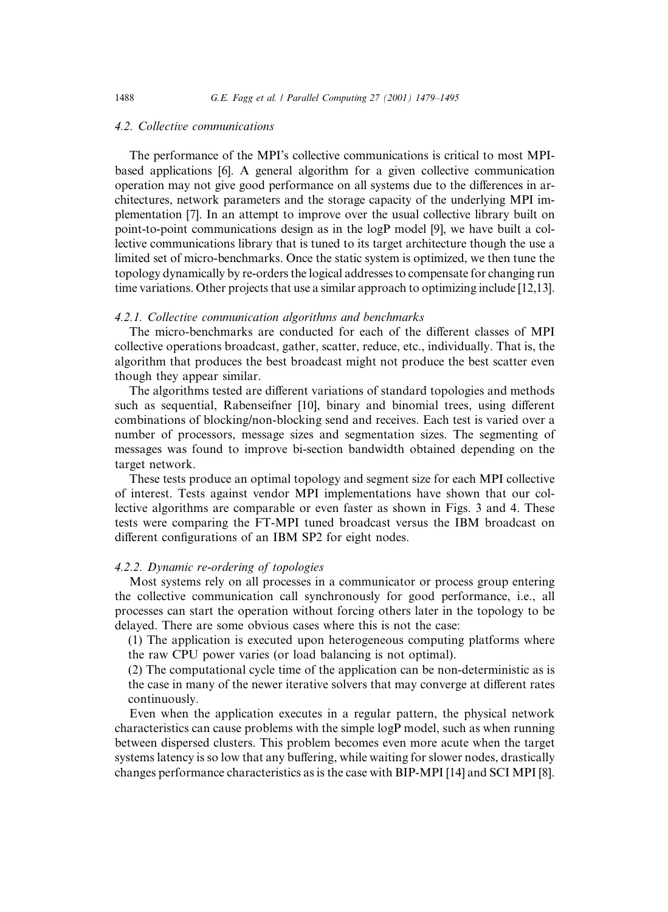# 4.2. Collective communications

The performance of the MPI's collective communications is critical to most MPIbased applications [6]. A general algorithm for a given collective communication operation may not give good performance on all systems due to the differences in architectures, network parameters and the storage capacity of the underlying MPI implementation [7]. In an attempt to improve over the usual collective library built on point-to-point communications design as in the logP model [9], we have built a collective communications library that is tuned to its target architecture though the use a limited set of micro-benchmarks. Once the static system is optimized, we then tune the topology dynamically by re-orders the logical addresses to compensate for changing run time variations. Other projects that use a similar approach to optimizing include [12,13].

# 4.2.1. Collective communication algorithms and benchmarks

The micro-benchmarks are conducted for each of the different classes of MPI collective operations broadcast, gather, scatter, reduce, etc., individually. That is, the algorithm that produces the best broadcast might not produce the best scatter even though they appear similar.

The algorithms tested are different variations of standard topologies and methods such as sequential, Rabenseifner [10], binary and binomial trees, using different combinations of blocking/non-blocking send and receives. Each test is varied over a number of processors, message sizes and segmentation sizes. The segmenting of messages was found to improve bi-section bandwidth obtained depending on the target network.

These tests produce an optimal topology and segment size for each MPI collective of interest. Tests against vendor MPI implementations have shown that our collective algorithms are comparable or even faster as shown in Figs. 3 and 4. These tests were comparing the FT-MPI tuned broadcast versus the IBM broadcast on different configurations of an IBM SP2 for eight nodes.

# 4.2.2. Dynamic re-ordering of topologies

Most systems rely on all processes in a communicator or process group entering the collective communication call synchronously for good performance, i.e., all processes can start the operation without forcing others later in the topology to be delayed. There are some obvious cases where this is not the case:

(1) The application is executed upon heterogeneous computing platforms where the raw CPU power varies (or load balancing is not optimal).

(2) The computational cycle time of the application can be non-deterministic as is the case in many of the newer iterative solvers that may converge at different rates continuously.

Even when the application executes in a regular pattern, the physical network characteristics can cause problems with the simple logP model, such as when running between dispersed clusters. This problem becomes even more acute when the target systems latency is so low that any buffering, while waiting for slower nodes, drastically changes performance characteristics as is the case with BIP-MPI [14] and SCI MPI [8].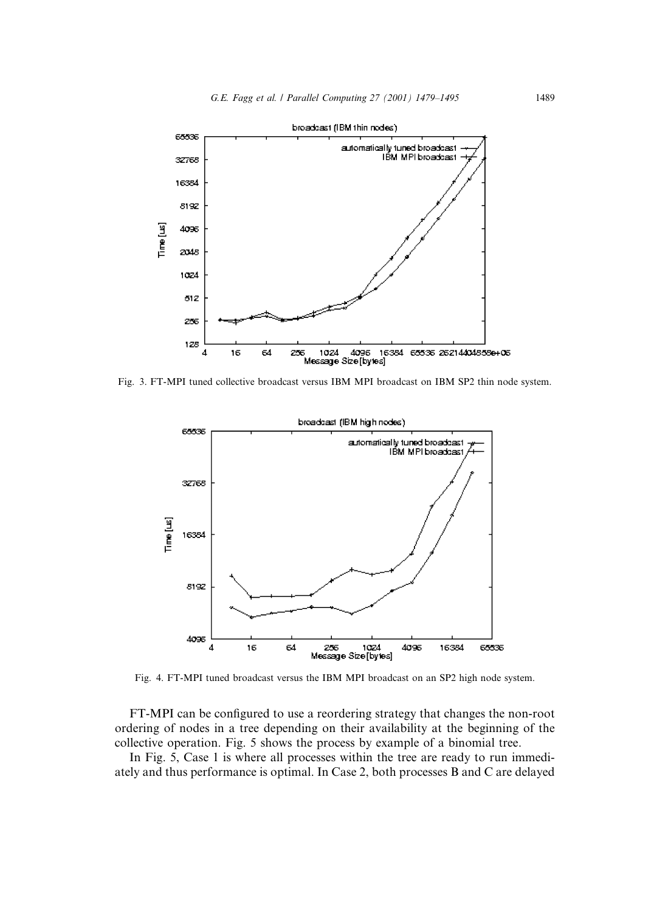

Fig. 3. FT-MPI tuned collective broadcast versus IBM MPI broadcast on IBM SP2 thin node system.



Fig. 4. FT-MPI tuned broadcast versus the IBM MPI broadcast on an SP2 high node system.

FT-MPI can be configured to use a reordering strategy that changes the non-root ordering of nodes in a tree depending on their availability at the beginning of the collective operation. Fig. 5 shows the process by example of a binomial tree.

In Fig. 5, Case 1 is where all processes within the tree are ready to run immediately and thus performance is optimal. In Case 2, both processes B and C are delayed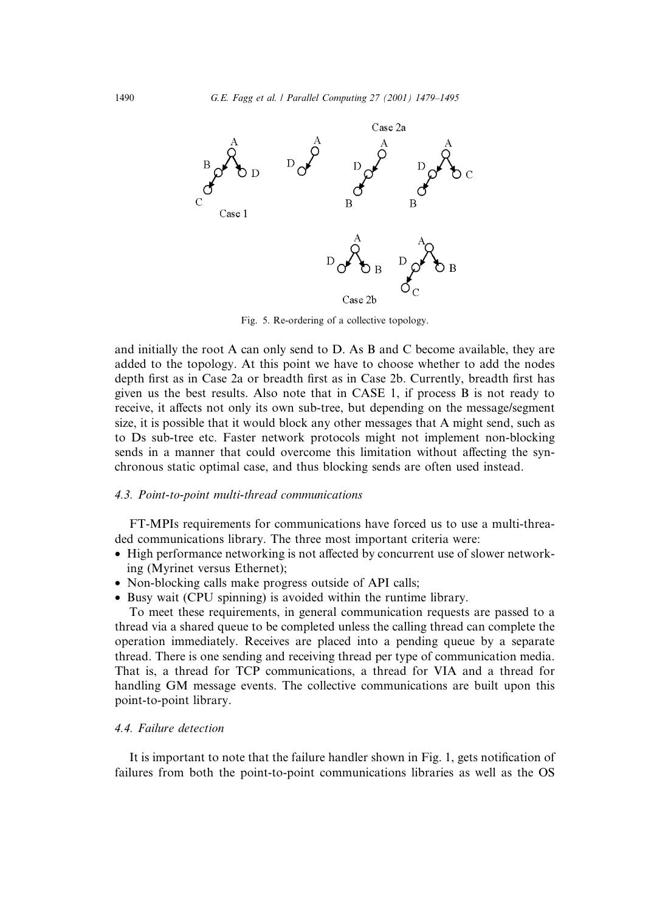

Fig. 5. Re-ordering of a collective topology.

and initially the root A can only send to D. As B and C become available, they are added to the topology. At this point we have to choose whether to add the nodes depth first as in Case 2a or breadth first as in Case 2b. Currently, breadth first has given us the best results. Also note that in CASE 1, if process B is not ready to receive, it affects not only its own sub-tree, but depending on the message/segment size, it is possible that it would block any other messages that A might send, such as to Ds sub-tree etc. Faster network protocols might not implement non-blocking sends in a manner that could overcome this limitation without affecting the synchronous static optimal case, and thus blocking sends are often used instead.

#### 4.3. Point-to-point multi-thread communications

FT-MPIs requirements for communications have forced us to use a multi-threaded communications library. The three most important criteria were:

- High performance networking is not affected by concurrent use of slower networking (Myrinet versus Ethernet);
- Non-blocking calls make progress outside of API calls;
- Busy wait (CPU spinning) is avoided within the runtime library.

To meet these requirements, in general communication requests are passed to a thread via a shared queue to be completed unless the calling thread can complete the operation immediately. Receives are placed into a pending queue by a separate thread. There is one sending and receiving thread per type of communication media. That is, a thread for TCP communications, a thread for VIA and a thread for handling GM message events. The collective communications are built upon this point-to-point library.

# 4.4. Failure detection

It is important to note that the failure handler shown in Fig. 1, gets notification of failures from both the point-to-point communications libraries as well as the OS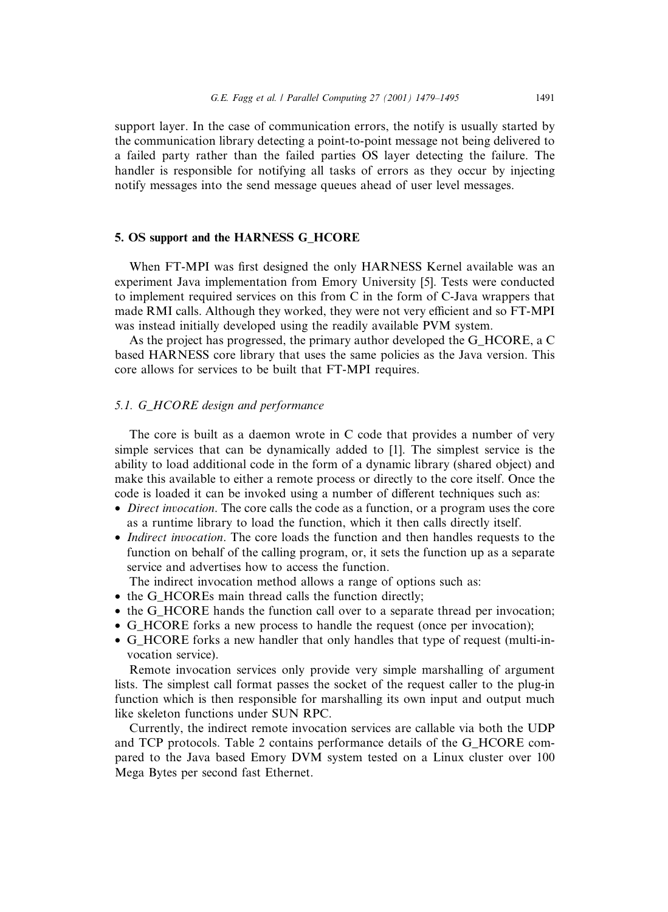support layer. In the case of communication errors, the notify is usually started by the communication library detecting a point-to-point message not being delivered to a failed party rather than the failed parties OS layer detecting the failure. The handler is responsible for notifying all tasks of errors as they occur by injecting notify messages into the send message queues ahead of user level messages.

# 5. OS support and the HARNESS G\_HCORE

When FT-MPI was first designed the only HARNESS Kernel available was an experiment Java implementation from Emory University [5]. Tests were conducted to implement required services on this from C in the form of C-Java wrappers that made RMI calls. Although they worked, they were not very efficient and so FT-MPI was instead initially developed using the readily available PVM system.

As the project has progressed, the primary author developed the G HCORE, a C based HARNESS core library that uses the same policies as the Java version. This core allows for services to be built that FT-MPI requires.

# 5.1. G HCORE design and performance

The core is built as a daemon wrote in C code that provides a number of very simple services that can be dynamically added to [1]. The simplest service is the ability to load additional code in the form of a dynamic library (shared object) and make this available to either a remote process or directly to the core itself. Once the code is loaded it can be invoked using a number of different techniques such as:

- Direct invocation. The core calls the code as a function, or a program uses the core as a runtime library to load the function, which it then calls directly itself.
- *Indirect invocation*. The core loads the function and then handles requests to the function on behalf of the calling program, or, it sets the function up as a separate service and advertises how to access the function.

The indirect invocation method allows a range of options such as:

- the G\_HCOREs main thread calls the function directly;
- the G\_HCORE hands the function call over to a separate thread per invocation;
- G HCORE forks a new process to handle the request (once per invocation);
- G HCORE forks a new handler that only handles that type of request (multi-invocation service).

Remote invocation services only provide very simple marshalling of argument lists. The simplest call format passes the socket of the request caller to the plug-in function which is then responsible for marshalling its own input and output much like skeleton functions under SUN RPC.

Currently, the indirect remote invocation services are callable via both the UDP and TCP protocols. Table 2 contains performance details of the G\_HCORE compared to the Java based Emory DVM system tested on a Linux cluster over 100 Mega Bytes per second fast Ethernet.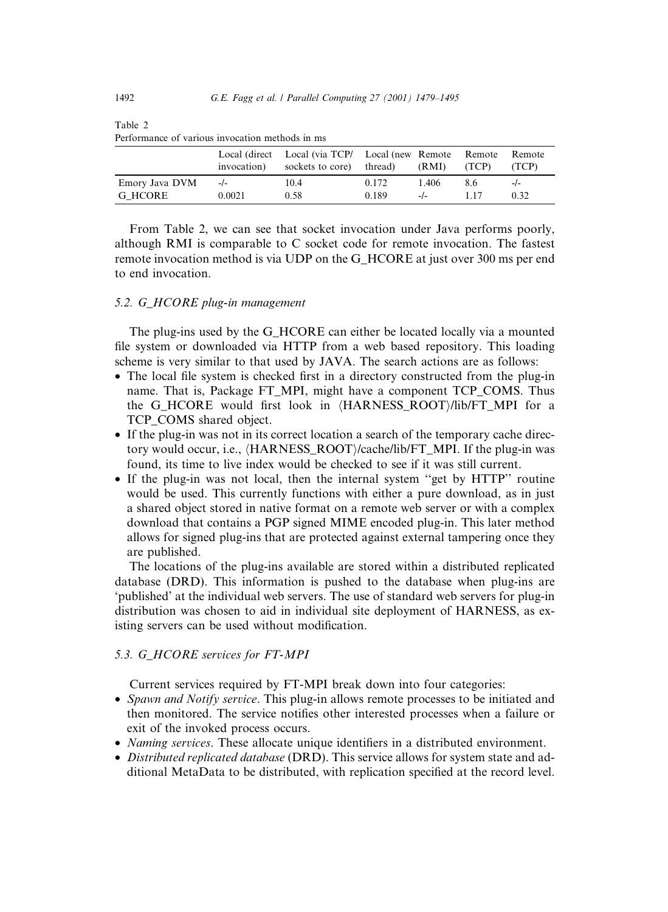|                           | Terrormance of various invocation includus in ms |                                                                                           |                |                |              |                |
|---------------------------|--------------------------------------------------|-------------------------------------------------------------------------------------------|----------------|----------------|--------------|----------------|
|                           | invocation)                                      | Local (direct Local (via TCP/ Local (new Remote Remote Remote<br>sockets to core) thread) |                | (RMI)          | (TCP)        | (TCP)          |
| Emory Java DVM<br>G HCORE | $-l-$<br>0.0021                                  | 10.4<br>0.58                                                                              | 0.172<br>0.189 | 1.406<br>$-l-$ | 8.6<br>1 1 7 | $-l -$<br>0.32 |

Table 2 Performance of various invocation methods in ms

From Table 2, we can see that socket invocation under Java performs poorly, although RMI is comparable to C socket code for remote invocation. The fastest remote invocation method is via UDP on the G\_HCORE at just over 300 ms per end to end invocation.

# 5.2. G\_HCORE plug-in management

The plug-ins used by the G HCORE can either be located locally via a mounted file system or downloaded via HTTP from a web based repository. This loading scheme is very similar to that used by JAVA. The search actions are as follows:

- The local file system is checked first in a directory constructed from the plug-in name. That is, Package FT\_MPI, might have a component TCP\_COMS. Thus the G HCORE would first look in (HARNESS ROOT)/lib/FT MPI for a TCP COMS shared object.
- If the plug-in was not in its correct location a search of the temporary cache directory would occur, i.e., (HARNESS ROOT)/cache/lib/FT MPI. If the plug-in was found, its time to live index would be checked to see if it was still current.
- If the plug-in was not local, then the internal system "get by HTTP" routine would be used. This currently functions with either a pure download, as in just a shared object stored in native format on a remote web server or with a complex download that contains a PGP signed MIME encoded plug-in. This later method allows for signed plug-ins that are protected against external tampering once they are published.

The locations of the plug-ins available are stored within a distributed replicated database (DRD). This information is pushed to the database when plug-ins are 'published' at the individual web servers. The use of standard web servers for plug-in distribution was chosen to aid in individual site deployment of HARNESS, as existing servers can be used without modification.

#### 5.3. G HCORE services for FT-MPI

Current services required by FT-MPI break down into four categories:

- Spawn and Notify service. This plug-in allows remote processes to be initiated and then monitored. The service notifies other interested processes when a failure or exit of the invoked process occurs.
- Naming services. These allocate unique identifiers in a distributed environment.
- Distributed replicated database (DRD). This service allows for system state and additional MetaData to be distributed, with replication specified at the record level.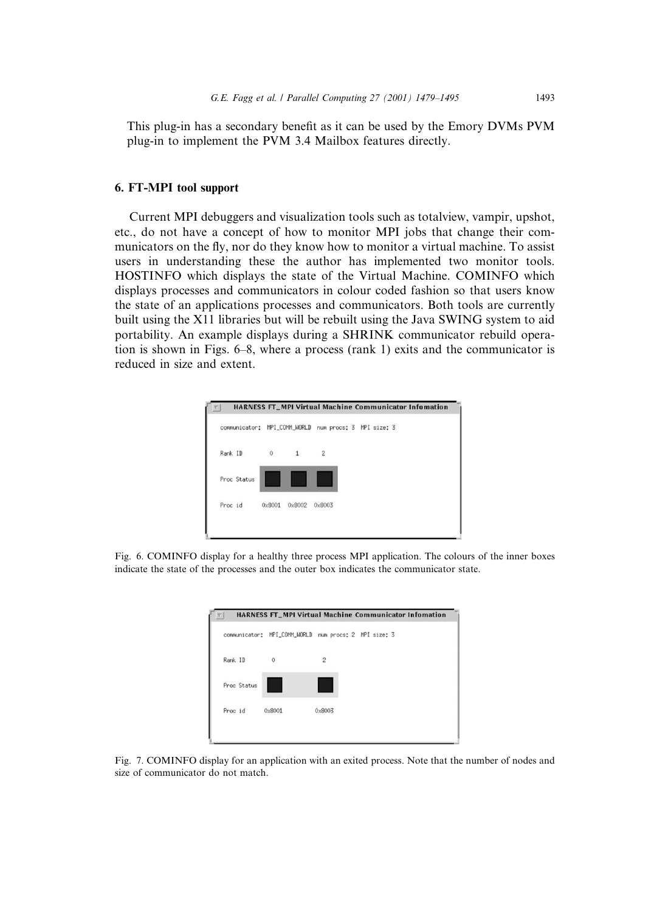This plug-in has a secondary benefit as it can be used by the Emory DVMs PVM plug-in to implement the PVM 3.4 Mailbox features directly.

## 6. FT-MPI tool support

Current MPI debuggers and visualization tools such as total view, vampir, upshot, etc., do not have a concept of how to monitor MPI jobs that change their communicators on the fly, nor do they know how to monitor a virtual machine. To assist users in understanding these the author has implemented two monitor tools. HOSTINFO which displays the state of the Virtual Machine. COMINFO which displays processes and communicators in colour coded fashion so that users know the state of an applications processes and communicators. Both tools are currently built using the X11 libraries but will be rebuilt using the Java SWING system to aid portability. An example displays during a SHRINK communicator rebuild operation is shown in Figs. 6-8, where a process (rank 1) exits and the communicator is reduced in size and extent.



Fig. 6. COMINFO display for a healthy three process MPI application. The colours of the inner boxes indicate the state of the processes and the outer box indicates the communicator state.

|             | communicator: MPI_COMM_WORLD num procs: 2 MPI size: 3 |                |  |
|-------------|-------------------------------------------------------|----------------|--|
| Rank ID     | $-0$                                                  | $\overline{2}$ |  |
| Proc Status |                                                       |                |  |
| Proc id     | 0x8001                                                | 0x8003         |  |

Fig. 7. COMINFO display for an application with an exited process. Note that the number of nodes and size of communicator do not match.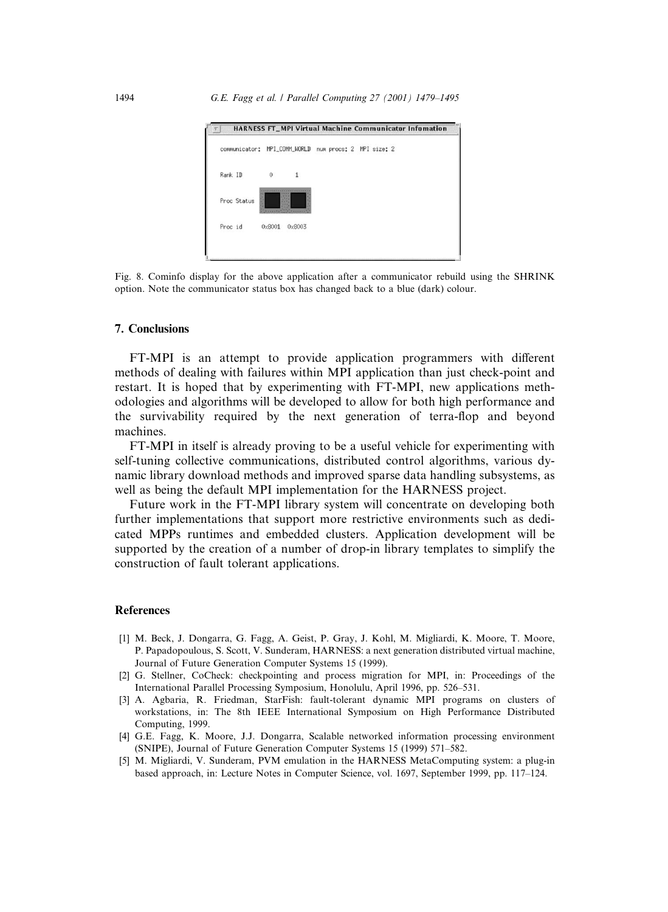

Fig. 8. Cominfo display for the above application after a communicator rebuild using the SHRINK option. Note the communicator status box has changed back to a blue (dark) colour.

## 7. Conclusions

FT-MPI is an attempt to provide application programmers with different methods of dealing with failures within MPI application than just check-point and restart. It is hoped that by experimenting with FT-MPI, new applications methodologies and algorithms will be developed to allow for both high performance and the survivability required by the next generation of terra-flop and beyond machines.

FT-MPI in itself is already proving to be a useful vehicle for experimenting with self-tuning collective communications, distributed control algorithms, various dynamic library download methods and improved sparse data handling subsystems, as well as being the default MPI implementation for the HARNESS project.

Future work in the FT-MPI library system will concentrate on developing both further implementations that support more restrictive environments such as dedicated MPPs runtimes and embedded clusters. Application development will be supported by the creation of a number of drop-in library templates to simplify the construction of fault tolerant applications.

#### **References**

- [1] M. Beck, J. Dongarra, G. Fagg, A. Geist, P. Gray, J. Kohl, M. Migliardi, K. Moore, T. Moore, P. Papadopoulous, S. Scott, V. Sunderam, HARNESS: a next generation distributed virtual machine, Journal of Future Generation Computer Systems 15 (1999).
- [2] G. Stellner, CoCheck: checkpointing and process migration for MPI, in: Proceedings of the International Parallel Processing Symposium, Honolulu, April 1996, pp. 526-531.
- [3] A. Agbaria, R. Friedman, StarFish: fault-tolerant dynamic MPI programs on clusters of workstations, in: The 8th IEEE International Symposium on High Performance Distributed Computing, 1999.
- [4] G.E. Fagg, K. Moore, J.J. Dongarra, Scalable networked information processing environment (SNIPE), Journal of Future Generation Computer Systems 15 (1999) 571-582.
- [5] M. Migliardi, V. Sunderam, PVM emulation in the HARNESS MetaComputing system: a plug-in based approach, in: Lecture Notes in Computer Science, vol. 1697, September 1999, pp. 117-124.